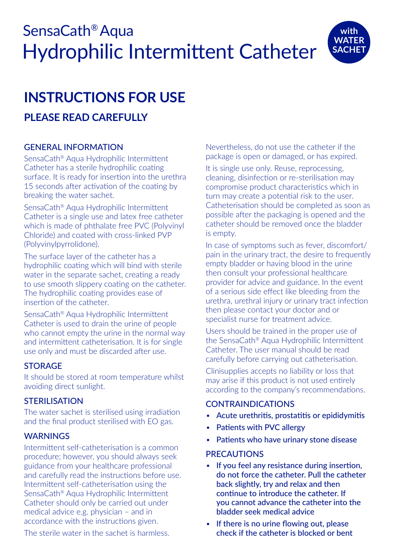# SensaCath® Aqua Hydrophilic Intermittent Catheter



# **INSTRUCTIONS FOR USE PLEASE READ CAREFULLY**

# GENERAL INFORMATION

SensaCath® Aqua Hydrophilic Intermittent Catheter has a sterile hydrophilic coating surface. It is ready for insertion into the urethra 15 seconds after activation of the coating by breaking the water sachet.

SensaCath® Aqua Hydrophilic Intermittent Catheter is a single use and latex free catheter which is made of phthalate free PVC (Polyvinyl Chloride) and coated with cross-linked PVP (Polyvinylpyrrolidone).

The surface layer of the catheter has a hydrophilic coating which will bind with sterile water in the separate sachet, creating a ready to use smooth slippery coating on the catheter. The hydrophilic coating provides ease of insertion of the catheter.

SensaCath® Aqua Hydrophilic Intermittent Catheter is used to drain the urine of people who cannot empty the urine in the normal way and intermittent catheterisation. It is for single use only and must be discarded after use.

# **STORAGE**

It should be stored at room temperature whilst avoiding direct sunlight.

# STERILISATION

The water sachet is sterilised using irradiation and the final product sterilised with EO gas.

# **WARNINGS**

Intermittent self-catheterisation is a common procedure; however, you should always seek guidance from your healthcare professional and carefully read the instructions before use. Intermittent self-catheterisation using the SensaCath® Aqua Hydrophilic Intermittent Catheter should only be carried out under medical advice e.g. physician – and in accordance with the instructions given.

The sterile water in the sachet is harmless.

Nevertheless, do not use the catheter if the package is open or damaged, or has expired.

It is single use only. Reuse, reprocessing, cleaning, disinfection or re-sterilisation may compromise product characteristics which in turn may create a potential risk to the user. Catheterisation should be completed as soon as possible after the packaging is opened and the catheter should be removed once the bladder is empty.

In case of symptoms such as fever, discomfort/ pain in the urinary tract, the desire to frequently empty bladder or having blood in the urine then consult your professional healthcare provider for advice and guidance. In the event of a serious side effect like bleeding from the urethra, urethral injury or urinary tract infection then please contact your doctor and or specialist nurse for treatment advice.

Users should be trained in the proper use of the SensaCath® Aqua Hydrophilic Intermittent Catheter. The user manual should be read carefully before carrying out catheterisation.

Clinisupplies accepts no liability or loss that may arise if this product is not used entirely according to the company's recommendations.

# **CONTRAINDICATIONS**

- Acute urethritis, prostatitis or epididymitis
- Patients with PVC allergy
- Patients who have urinary stone disease

# **PRECAUTIONS**

- If you feel any resistance during insertion, do not force the catheter. Pull the catheter back slightly, try and relax and then continue to introduce the catheter. If you cannot advance the catheter into the bladder seek medical advice
- If there is no urine flowing out, please check if the catheter is blocked or bent